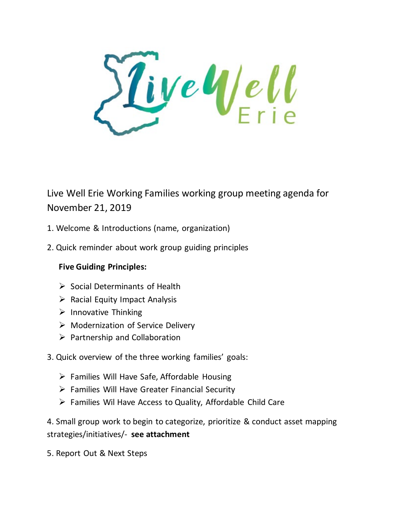ive Well

Live Well Erie Working Families working group meeting agenda for November 21, 2019

- 1. Welcome & Introductions (name, organization)
- 2. Quick reminder about work group guiding principles

# **Five Guiding Principles:**

- $\triangleright$  Social Determinants of Health
- $\triangleright$  Racial Equity Impact Analysis
- $\triangleright$  Innovative Thinking
- ▶ Modernization of Service Delivery
- $\triangleright$  Partnership and Collaboration
- 3. Quick overview of the three working families' goals:
	- $\triangleright$  Families Will Have Safe, Affordable Housing
	- $\triangleright$  Families Will Have Greater Financial Security
	- Families Wil Have Access to Quality, Affordable Child Care

4. Small group work to begin to categorize, prioritize & conduct asset mapping strategies/initiatives/- **see attachment**

5. Report Out & Next Steps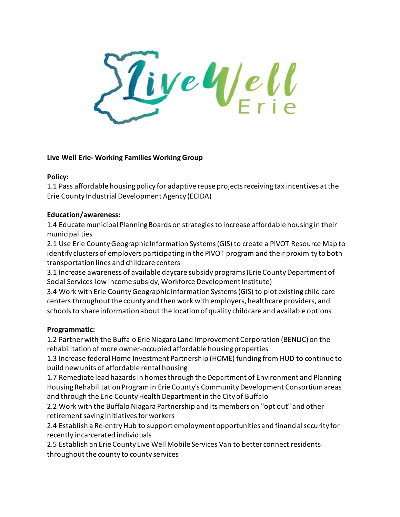ive Well

## **Live Well Erie- Working Families Working Group**

#### **Policy:**

1.1 Pass affordable housing policy for adaptive reuse projects receiving tax incentives at the Erie County Industrial Development Agency (ECIDA)

## **Education/awareness:**

1.4 Educate municipal Planning Boards on strategies to increase affordable housing in their municipalities

2.1 Use Erie County Geographic Information Systems (GIS) to create a PIVOT Resource Map to identify clusters of employers participating in the PIVOT program and their proximity to both transportation lines and childcare centers

3.1 Increase awareness of available daycare subsidy programs (Erie County Department of Social Services low income subsidy, Workforce Development Institute)

3.4 Work with Erie County Geographic Information Systems (GIS) to plot existing child care centers throughout the county and then work with employers, healthcare providers, and schools to share information about the location of quality childcare and available options

#### **Programmatic:**

1.2 Partner with the Buffalo Erie Niagara Land Improvement Corporation (BENLIC) on the rehabilitation of more owner-occupied affordable housing properties

1.3 Increase federal Home Investment Partnership (HOME) funding from HUD to continue to build new units of affordable rental housing

1.7 Remediate lead hazards in homes through the Department of Environment and Planning Housing Rehabilitation Program in Erie County's Community Development Consortium areas and through the Erie County Health Department in the City of Buffalo

2.2 Work with the Buffalo Niagara Partnership and its members on "opt out" and other retirement saving initiatives for workers

2.4 Establish a Re-entry Hub to support employment opportunities and financial security for recently incarcerated individuals

2.5 Establish an Erie County Live Well Mobile Services Van to better connect residents throughout the county to county services